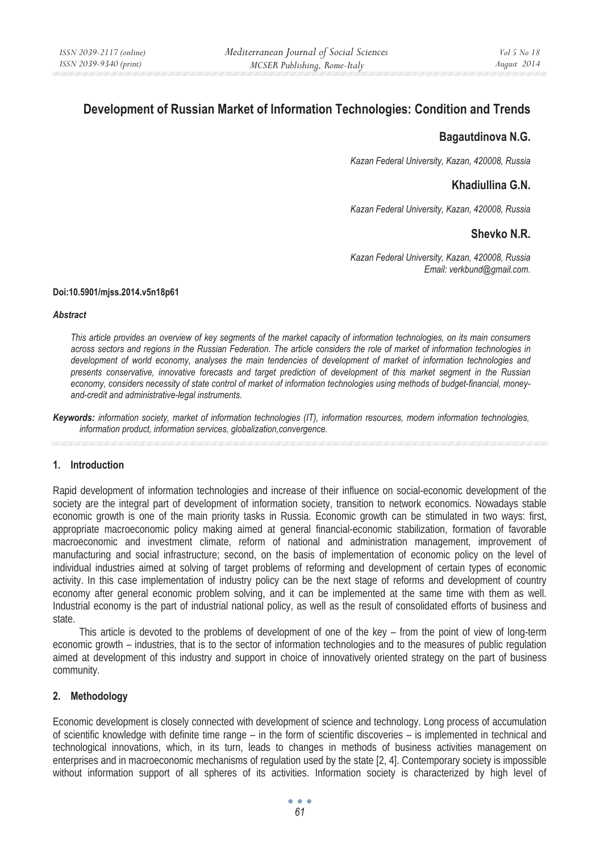# **Development of Russian Market of Information Technologies: Condition and Trends**

## **Bagautdinova N.G.**

*Kazan Federal University, Kazan, 420008, Russia* 

## **Khadiullina G.N.**

*Kazan Federal University, Kazan, 420008, Russia* 

## **Shevko N.R.**

*Kazan Federal University, Kazan, 420008, Russia Email: verkbund@gmail.com.* 

#### **Doi:10.5901/mjss.2014.v5n18p61**

#### *Abstract*

*This article provides an overview of key segments of the market capacity of information technologies, on its main consumers across sectors and regions in the Russian Federation. The article considers the role of market of information technologies in development of world economy, analyses the main tendencies of development of market of information technologies and presents conservative, innovative forecasts and target prediction of development of this market segment in the Russian economy, considers necessity of state control of market of information technologies using methods of budget-financial, moneyand-credit and administrative-legal instruments.* 

*Keywords: information society, market of information technologies (IT), information resources, modern information technologies, information product, information services, globalization,convergence.* 

### **1. Introduction**

Rapid development of information technologies and increase of their influence on social-economic development of the society are the integral part of development of information society, transition to network economics. Nowadays stable economic growth is one of the main priority tasks in Russia. Economic growth can be stimulated in two ways: first, appropriate macroeconomic policy making aimed at general financial-economic stabilization, formation of favorable macroeconomic and investment climate, reform of national and administration management, improvement of manufacturing and social infrastructure; second, on the basis of implementation of economic policy on the level of individual industries aimed at solving of target problems of reforming and development of certain types of economic activity. In this case implementation of industry policy can be the next stage of reforms and development of country economy after general economic problem solving, and it can be implemented at the same time with them as well. Industrial economy is the part of industrial national policy, as well as the result of consolidated efforts of business and state.

This article is devoted to the problems of development of one of the key – from the point of view of long-term economic growth – industries, that is to the sector of information technologies and to the measures of public regulation aimed at development of this industry and support in choice of innovatively oriented strategy on the part of business community.

### **2. Methodology**

Economic development is closely connected with development of science and technology. Long process of accumulation of scientific knowledge with definite time range – in the form of scientific discoveries – is implemented in technical and technological innovations, which, in its turn, leads to changes in methods of business activities management on enterprises and in macroeconomic mechanisms of regulation used by the state [2, 4]. Contemporary society is impossible without information support of all spheres of its activities. Information society is characterized by high level of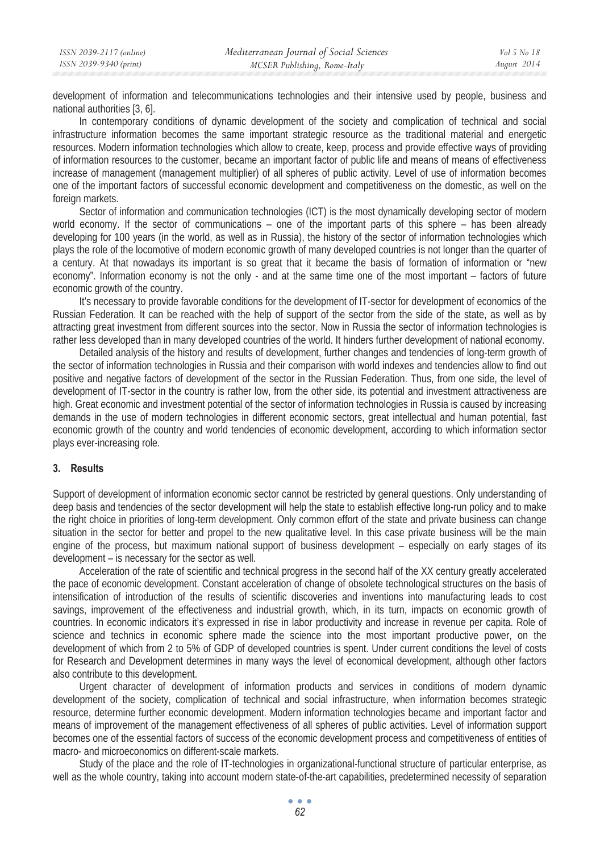development of information and telecommunications technologies and their intensive used by people, business and national authorities [3, 6].

In contemporary conditions of dynamic development of the society and complication of technical and social infrastructure information becomes the same important strategic resource as the traditional material and energetic resources. Modern information technologies which allow to create, keep, process and provide effective ways of providing of information resources to the customer, became an important factor of public life and means of means of effectiveness increase of management (management multiplier) of all spheres of public activity. Level of use of information becomes one of the important factors of successful economic development and competitiveness on the domestic, as well on the foreign markets.

Sector of information and communication technologies (ICT) is the most dynamically developing sector of modern world economy. If the sector of communications – one of the important parts of this sphere – has been already developing for 100 years (in the world, as well as in Russia), the history of the sector of information technologies which plays the role of the locomotive of modern economic growth of many developed countries is not longer than the quarter of a century. At that nowadays its important is so great that it became the basis of formation of information or "new economy". Information economy is not the only - and at the same time one of the most important – factors of future economic growth of the country.

It's necessary to provide favorable conditions for the development of IT-sector for development of economics of the Russian Federation. It can be reached with the help of support of the sector from the side of the state, as well as by attracting great investment from different sources into the sector. Now in Russia the sector of information technologies is rather less developed than in many developed countries of the world. It hinders further development of national economy.

Detailed analysis of the history and results of development, further changes and tendencies of long-term growth of the sector of information technologies in Russia and their comparison with world indexes and tendencies allow to find out positive and negative factors of development of the sector in the Russian Federation. Thus, from one side, the level of development of IT-sector in the country is rather low, from the other side, its potential and investment attractiveness are high. Great economic and investment potential of the sector of information technologies in Russia is caused by increasing demands in the use of modern technologies in different economic sectors, great intellectual and human potential, fast economic growth of the country and world tendencies of economic development, according to which information sector plays ever-increasing role.

### **3. Results**

Support of development of information economic sector cannot be restricted by general questions. Only understanding of deep basis and tendencies of the sector development will help the state to establish effective long-run policy and to make the right choice in priorities of long-term development. Only common effort of the state and private business can change situation in the sector for better and propel to the new qualitative level. In this case private business will be the main engine of the process, but maximum national support of business development – especially on early stages of its development – is necessary for the sector as well.

Acceleration of the rate of scientific and technical progress in the second half of the XX century greatly accelerated the pace of economic development. Constant acceleration of change of obsolete technological structures on the basis of intensification of introduction of the results of scientific discoveries and inventions into manufacturing leads to cost savings, improvement of the effectiveness and industrial growth, which, in its turn, impacts on economic growth of countries. In economic indicators it's expressed in rise in labor productivity and increase in revenue per capita. Role of science and technics in economic sphere made the science into the most important productive power, on the development of which from 2 to 5% of GDP of developed countries is spent. Under current conditions the level of costs for Research and Development determines in many ways the level of economical development, although other factors also contribute to this development.

Urgent character of development of information products and services in conditions of modern dynamic development of the society, complication of technical and social infrastructure, when information becomes strategic resource, determine further economic development. Modern information technologies became and important factor and means of improvement of the management effectiveness of all spheres of public activities. Level of information support becomes one of the essential factors of success of the economic development process and competitiveness of entities of macro- and microeconomics on different-scale markets.

Study of the place and the role of IT-technologies in organizational-functional structure of particular enterprise, as well as the whole country, taking into account modern state-of-the-art capabilities, predetermined necessity of separation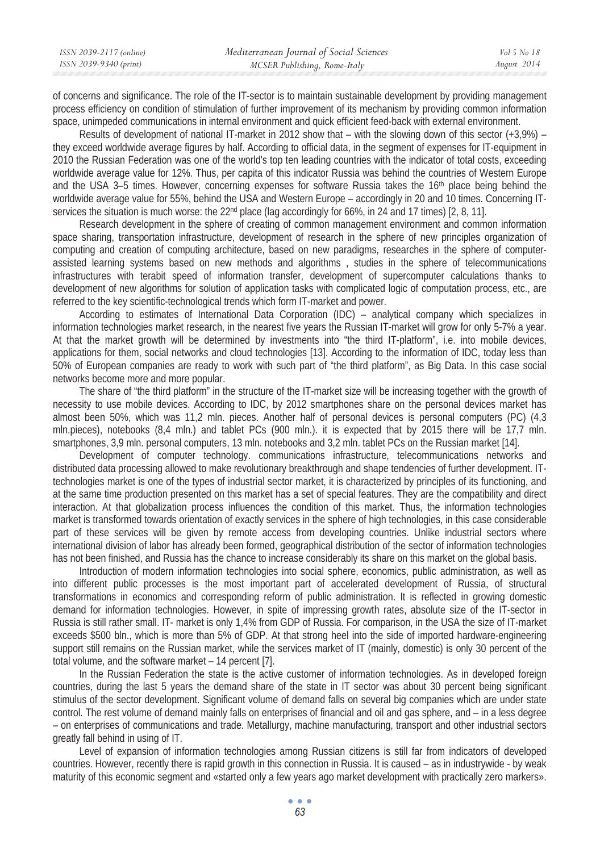| ISSN 2039-2117 (online) | Mediterranean Journal of Social Sciences | Vol 5 No 18 |
|-------------------------|------------------------------------------|-------------|
| ISSN 2039-9340 (print)  | MCSER Publishing, Rome-Italy             | August 2014 |

of concerns and significance. The role of the IT-sector is to maintain sustainable development by providing management process efficiency on condition of stimulation of further improvement of its mechanism by providing common information space, unimpeded communications in internal environment and quick efficient feed-back with external environment.

Results of development of national IT-market in 2012 show that – with the slowing down of this sector (+3,9%) – they exceed worldwide average figures by half. According to official data, in the segment of expenses for IT-equipment in 2010 the Russian Federation was one of the world's top ten leading countries with the indicator of total costs, exceeding worldwide average value for 12%. Thus, per capita of this indicator Russia was behind the countries of Western Europe and the USA 3–5 times. However, concerning expenses for software Russia takes the 16th place being behind the worldwide average value for 55%, behind the USA and Western Europe – accordingly in 20 and 10 times. Concerning ITservices the situation is much worse: the 22<sup>nd</sup> place (lag accordingly for 66%, in 24 and 17 times) [2, 8, 11].

Research development in the sphere of creating of common management environment and common information space sharing, transportation infrastructure, development of research in the sphere of new principles organization of computing and creation of computing architecture, based on new paradigms, researches in the sphere of computerassisted learning systems based on new methods and algorithms , studies in the sphere of telecommunications infrastructures with terabit speed of information transfer, development of supercomputer calculations thanks to development of new algorithms for solution of application tasks with complicated logic of computation process, etc., are referred to the key scientific-technological trends which form IT-market and power.

According to estimates of International Data Corporation (IDC) – analytical company which specializes in information technologies market research, in the nearest five years the Russian IT-market will grow for only 5-7% a year. At that the market growth will be determined by investments into "the third IT-platform", i.e. into mobile devices, applications for them, social networks and cloud technologies [13]. According to the information of IDC, today less than 50% of European companies are ready to work with such part of "the third platform", as Big Data. In this case social networks become more and more popular.

The share of "the third platform" in the structure of the IT-market size will be increasing together with the growth of necessity to use mobile devices. According to IDC, by 2012 smartphones share on the personal devices market has almost been 50%, which was 11,2 mln. pieces. Another half of personal devices is personal computers (PC) (4,3 mln.pieces), notebooks (8,4 mln.) and tablet PCs (900 mln.). it is expected that by 2015 there will be 17,7 mln. smartphones, 3,9 mln. personal computers, 13 mln. notebooks and 3,2 mln. tablet PCs on the Russian market [14].

Development of computer technology. communications infrastructure, telecommunications networks and distributed data processing allowed to make revolutionary breakthrough and shape tendencies of further development. ITtechnologies market is one of the types of industrial sector market, it is characterized by principles of its functioning, and at the same time production presented on this market has a set of special features. They are the compatibility and direct interaction. At that globalization process influences the condition of this market. Thus, the information technologies market is transformed towards orientation of exactly services in the sphere of high technologies, in this case considerable part of these services will be given by remote access from developing countries. Unlike industrial sectors where international division of labor has already been formed, geographical distribution of the sector of information technologies has not been finished, and Russia has the chance to increase considerably its share on this market on the global basis.

Introduction of modern information technologies into social sphere, economics, public administration, as well as into different public processes is the most important part of accelerated development of Russia, of structural transformations in economics and corresponding reform of public administration. It is reflected in growing domestic demand for information technologies. However, in spite of impressing growth rates, absolute size of the IT-sector in Russia is still rather small. IT- market is only 1,4% from GDP of Russia. For comparison, in the USA the size of IT-market exceeds \$500 bln., which is more than 5% of GDP. At that strong heel into the side of imported hardware-engineering support still remains on the Russian market, while the services market of IT (mainly, domestic) is only 30 percent of the total volume, and the software market – 14 percent [7].

In the Russian Federation the state is the active customer of information technologies. As in developed foreign countries, during the last 5 years the demand share of the state in IT sector was about 30 percent being significant stimulus of the sector development. Significant volume of demand falls on several big companies which are under state control. The rest volume of demand mainly falls on enterprises of financial and oil and gas sphere, and – in a less degree – on enterprises of communications and trade. Metallurgy, machine manufacturing, transport and other industrial sectors greatly fall behind in using of IT.

Level of expansion of information technologies among Russian citizens is still far from indicators of developed countries. However, recently there is rapid growth in this connection in Russia. It is caused – as in industrywide - by weak maturity of this economic segment and «started only a few years ago market development with practically zero markers».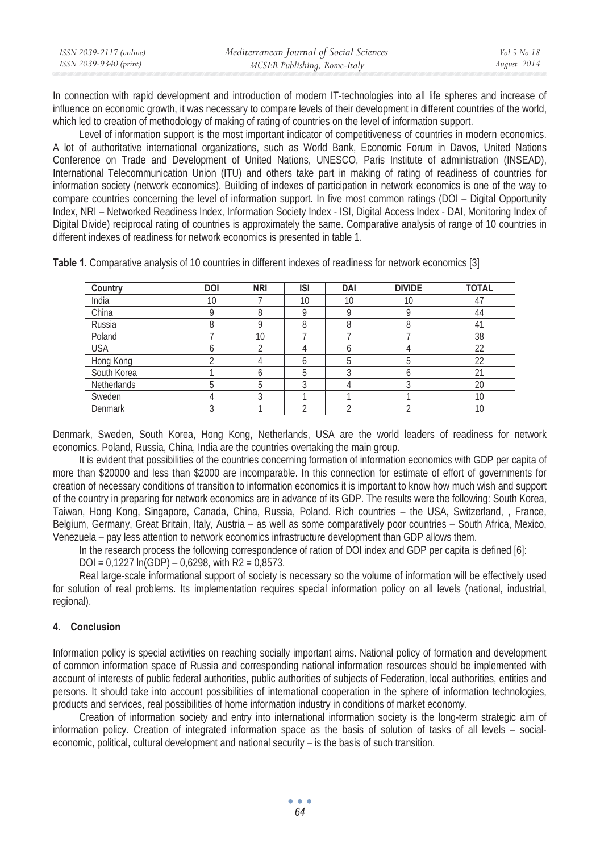| ISSN 2039-2117 (online) | Mediterranean Journal of Social Sciences | Vol 5 No 18 |
|-------------------------|------------------------------------------|-------------|
| ISSN 2039-9340 (print)  | MCSER Publishing, Rome-Italy             | August 2014 |

In connection with rapid development and introduction of modern IT-technologies into all life spheres and increase of influence on economic growth, it was necessary to compare levels of their development in different countries of the world, which led to creation of methodology of making of rating of countries on the level of information support.

Level of information support is the most important indicator of competitiveness of countries in modern economics. A lot of authoritative international organizations, such as World Bank, Economic Forum in Davos, United Nations Conference on Trade and Development of United Nations, UNESCO, Paris Institute of administration (INSEAD), International Telecommunication Union (ITU) and others take part in making of rating of readiness of countries for information society (network economics). Building of indexes of participation in network economics is one of the way to compare countries concerning the level of information support. In five most common ratings (DOI – Digital Opportunity Index, NRI – Networked Readiness Index, Information Society Index - ISI, Digital Access Index - DAI, Monitoring Index of Digital Divide) reciprocal rating of countries is approximately the same. Comparative analysis of range of 10 countries in different indexes of readiness for network economics is presented in table 1.

**Table 1.** Comparative analysis of 10 countries in different indexes of readiness for network economics [3]

| Country        | <b>DOI</b> | <b>NRI</b> | <b>ISI</b> | DAI | <b>DIVIDE</b> | <b>TOTAL</b> |
|----------------|------------|------------|------------|-----|---------------|--------------|
| India          | 10         |            | 10         | 10  | 10            | $4^-$        |
| China          | Q          | 8          | Q          | Q   |               | 44           |
| Russia         |            | Q          | 8          | 8   |               | 41           |
| Poland         |            | 10         |            |     |               | 38           |
| <b>USA</b>     | n          | ↑          |            | h   |               | 22           |
| Hong Kong      |            | 4          | h          | 5   |               | 22           |
| South Korea    |            | b          | 5          | ↑   |               | 21           |
| Netherlands    |            | 5          | ς          |     |               | 20           |
| Sweden         |            | 3          |            |     |               | 10           |
| <b>Denmark</b> |            |            |            |     |               | 10           |

Denmark, Sweden, South Korea, Hong Kong, Netherlands, USA are the world leaders of readiness for network economics. Poland, Russia, China, India are the countries overtaking the main group.

It is evident that possibilities of the countries concerning formation of information economics with GDP per capita of more than \$20000 and less than \$2000 are incomparable. In this connection for estimate of effort of governments for creation of necessary conditions of transition to information economics it is important to know how much wish and support of the country in preparing for network economics are in advance of its GDP. The results were the following: South Korea, Taiwan, Hong Kong, Singapore, Canada, China, Russia, Poland. Rich countries – the USA, Switzerland, , France, Belgium, Germany, Great Britain, Italy, Austria – as well as some comparatively poor countries – South Africa, Mexico, Venezuela – pay less attention to network economics infrastructure development than GDP allows them.

In the research process the following correspondence of ration of DOI index and GDP per capita is defined [6]:

DOI =  $0.1227 \ln(GDP) - 0.6298$ , with R2 =  $0.8573$ .

Real large-scale informational support of society is necessary so the volume of information will be effectively used for solution of real problems. Its implementation requires special information policy on all levels (national, industrial, regional).

### **4. Conclusion**

Information policy is special activities on reaching socially important aims. National policy of formation and development of common information space of Russia and corresponding national information resources should be implemented with account of interests of public federal authorities, public authorities of subjects of Federation, local authorities, entities and persons. It should take into account possibilities of international cooperation in the sphere of information technologies, products and services, real possibilities of home information industry in conditions of market economy.

Creation of information society and entry into international information society is the long-term strategic aim of information policy. Creation of integrated information space as the basis of solution of tasks of all levels – socialeconomic, political, cultural development and national security – is the basis of such transition.

> $\bullet$   $\bullet$   $\bullet$ *64*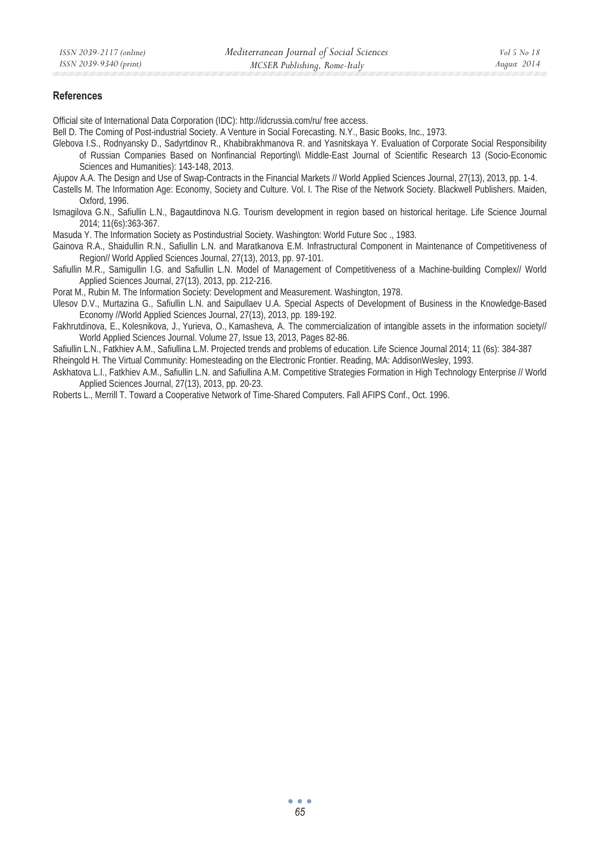#### **References**

Official site of International Data Corporation (IDC): http://idcrussia.com/ru/ free access.

Bell D. The Coming of Post-industrial Society. A Venture in Social Forecasting. N.Y., Basic Books, Inc., 1973.

Glebova I.S., Rodnyansky D., Sadyrtdinov R., Khabibrakhmanova R. and Yasnitskaya Y. Evaluation of Corporate Social Responsibility of Russian Companies Based on Nonfinancial Reporting\\ Middle-East Journal of Scientific Research 13 (Socio-Economic Sciences and Humanities): 143-148, 2013.

Ajupov A.A. The Design and Use of Swap-Contracts in the Financial Markets // World Applied Sciences Journal, 27(13), 2013, pp. 1-4.

- Castells M. The Information Age: Economy, Society and Culture. Vol. I. The Rise of the Network Society. Blackwell Publishers. Maiden, Oxford, 1996.
- Ismagilova G.N., Safiullin L.N., Bagautdinova N.G. Tourism development in region based on historical heritage. Life Science Journal 2014; 11(6s):363-367.

Masuda Y. The Information Society as Postindustrial Society. Washington: World Future Soc., 1983.

Gainova R.A., Shaidullin R.N., Safiullin L.N. and Maratkanova E.M. Infrastructural Component in Maintenance of Competitiveness of Region// World Applied Sciences Journal, 27(13), 2013, pp. 97-101.

Safiullin M.R., Samigullin I.G. and Safiullin L.N. Model of Management of Competitiveness of a Machine-building Complex// World Applied Sciences Journal, 27(13), 2013, pp. 212-216.

Porat M., Rubin M. The Information Society: Development and Measurement. Washington, 1978.

Ulesov D.V., Murtazina G., Safiullin L.N. and Saipullaev U.A. Special Aspects of Development of Business in the Knowledge-Based Economy //World Applied Sciences Journal, 27(13), 2013, pp. 189-192.

Fakhrutdinova, E., Kolesnikova, J., Yurieva, O., Kamasheva, A. The commercialization of intangible assets in the information society// World Applied Sciences Journal. Volume 27, Issue 13, 2013, Pages 82-86.

Safiullin L.N., Fatkhiev A.M., Safiullina L.M. Projected trends and problems of education. Life Science Journal 2014; 11 (6s): 384-387

Rheingold H. The Virtual Community: Homesteading on the Electronic Frontier. Reading, MA: AddisonWesley, 1993.

Askhatova L.I., Fatkhiev A.M., Safiullin L.N. and Safiullina A.M. Competitive Strategies Formation in High Technology Enterprise // World Applied Sciences Journal, 27(13), 2013, pp. 20-23.

Roberts L., Merrill T. Toward a Cooperative Network of Time-Shared Computers. Fall AFIPS Conf., Oct. 1996.